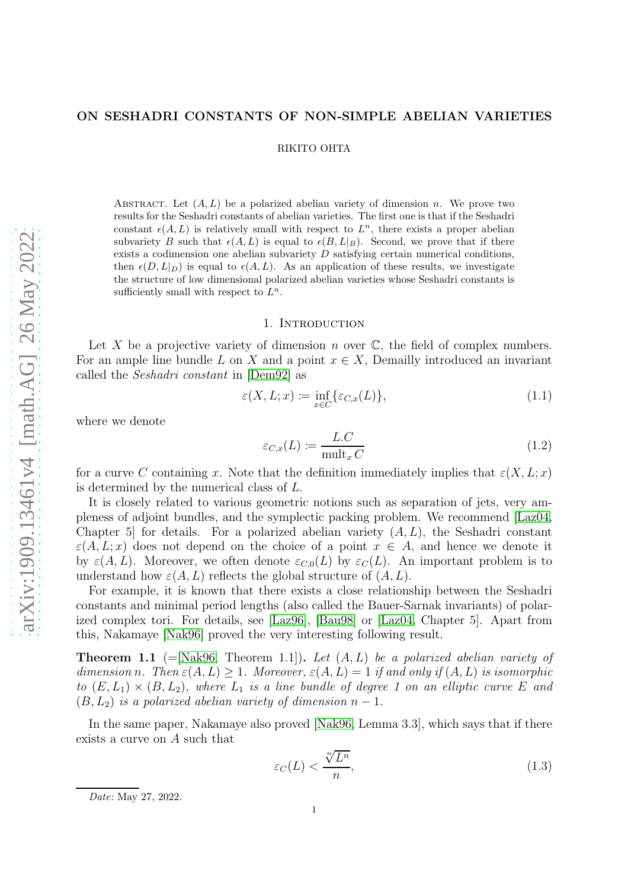# ON SESHADRI CONSTANTS OF NON-SIMPLE ABELIAN VARIETIES

RIKITO OHTA

ABSTRACT. Let  $(A, L)$  be a polarized abelian variety of dimension n. We prove two results for the Seshadri constants of abelian varieties. The first one is that if the Seshadri constant  $\epsilon(A, L)$  is relatively small with respect to  $L^n$ , there exists a proper abelian subvariety B such that  $\epsilon(A, L)$  is equal to  $\epsilon(B, L|B)$ . Second, we prove that if there exists a codimension one abelian subvariety  $D$  satisfying certain numerical conditions, then  $\epsilon(D, L|_D)$  is equal to  $\epsilon(A, L)$ . As an application of these results, we investigate the structure of low dimensional polarized abelian varieties whose Seshadri constants is sufficiently small with respect to  $L^n$ .

#### 1. INTRODUCTION

Let X be a projective variety of dimension n over  $\mathbb C$ , the field of complex numbers. For an ample line bundle L on X and a point  $x \in X$ , Demailly introduced an invariant called the Seshadri constant in [\[Dem92\]](#page-8-0) as

$$
\varepsilon(X, L; x) \coloneqq \inf_{x \in C} \{ \varepsilon_{C, x}(L) \},\tag{1.1}
$$

where we denote

$$
\varepsilon_{C,x}(L) := \frac{L.C}{\text{mult}_x C} \tag{1.2}
$$

for a curve C containing x. Note that the definition immediately implies that  $\varepsilon(X, L; x)$ is determined by the numerical class of L.

It is closely related to various geometric notions such as separation of jets, very ampleness of adjoint bundles, and the symplectic packing problem. We recommend [\[Laz04,](#page-8-1) Chapter 5 for details. For a polarized abelian variety  $(A, L)$ , the Seshadri constant  $\varepsilon(A, L; x)$  does not depend on the choice of a point  $x \in A$ , and hence we denote it by  $\varepsilon(A, L)$ . Moreover, we often denote  $\varepsilon_{C,0}(L)$  by  $\varepsilon_C(L)$ . An important problem is to understand how  $\varepsilon(A, L)$  reflects the global structure of  $(A, L)$ .

For example, it is known that there exists a close relationship between the Seshadri constants and minimal period lengths (also called the Bauer-Sarnak invariants) of polarized complex tori. For details, see [\[Laz96\]](#page-8-2), [\[Bau98\]](#page-8-3) or [\[Laz04,](#page-8-1) Chapter 5]. Apart from this, Nakamaye [\[Nak96\]](#page-8-4) proved the very interesting following result.

**Theorem 1.1** (=[\[Nak96,](#page-8-4) Theorem 1.1]). Let  $(A, L)$  be a polarized abelian variety of dimension n. Then  $\varepsilon(A, L) \geq 1$ . Moreover,  $\varepsilon(A, L) = 1$  if and only if  $(A, L)$  is isomorphic to  $(E, L_1) \times (B, L_2)$ , where  $L_1$  is a line bundle of degree 1 on an elliptic curve E and  $(B, L_2)$  is a polarized abelian variety of dimension  $n - 1$ .

In the same paper, Nakamaye also proved [\[Nak96,](#page-8-4) Lemma 3.3], which says that if there exists a curve on A such that

$$
\varepsilon_C(L) < \frac{\sqrt[n]{L^n}}{n},\tag{1.3}
$$

Date: May 27, 2022.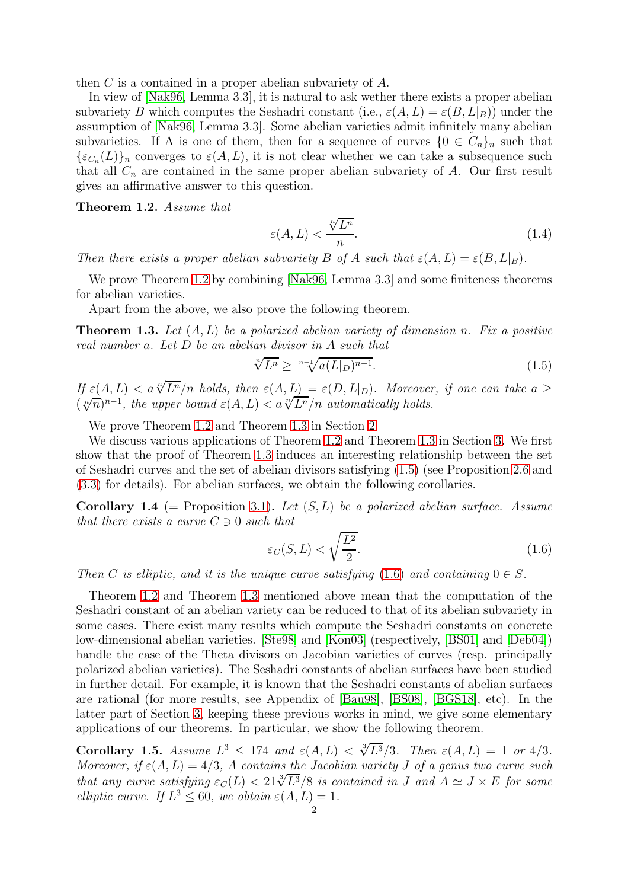then C is a contained in a proper abelian subvariety of A.

In view of [\[Nak96,](#page-8-4) Lemma 3.3], it is natural to ask wether there exists a proper abelian subvariety B which computes the Seshadri constant (i.e.,  $\varepsilon(A, L) = \varepsilon(B, L|_B)$ ) under the assumption of [\[Nak96,](#page-8-4) Lemma 3.3]. Some abelian varieties admit infinitely many abelian subvarieties. If A is one of them, then for a sequence of curves  $\{0 \in C_n\}_n$  such that  ${\{\varepsilon_{C_n}(L)\}}_n$  converges to  $\varepsilon(A, L)$ , it is not clear whether we can take a subsequence such that all  $C_n$  are contained in the same proper abelian subvariety of  $A$ . Our first result gives an affirmative answer to this question.

<span id="page-1-0"></span>Theorem 1.2. Assume that

<span id="page-1-4"></span>
$$
\varepsilon(A, L) < \frac{\sqrt[n]{L^n}}{n}.\tag{1.4}
$$

Then there exists a proper abelian subvariety B of A such that  $\varepsilon(A, L) = \varepsilon(B, L|_B)$ .

We prove Theorem [1.2](#page-1-0) by combining [\[Nak96,](#page-8-4) Lemma 3.3] and some finiteness theorems for abelian varieties.

Apart from the above, we also prove the following theorem.

<span id="page-1-1"></span>**Theorem 1.3.** Let  $(A, L)$  be a polarized abelian variety of dimension n. Fix a positive real number a. Let D be an abelian divisor in A such that

<span id="page-1-2"></span>
$$
\sqrt[n]{L^n} \ge \sqrt[n-1]{a(L|_D)^{n-1}}.\tag{1.5}
$$

If  $\varepsilon(A, L) < a \sqrt[n]{L^n}/n$  holds, then  $\varepsilon(A, L) = \varepsilon(D, L|_D)$ . Moreover, if one can take  $a \geq$  $(\sqrt[n]{n})^{n-1}$ , the upper bound  $\varepsilon(A, L) < a\sqrt[n]{L^n}/n$  automatically holds.

We prove Theorem [1.2](#page-1-0) and Theorem [1.3](#page-1-1) in Section [2.](#page-2-0)

We discuss various applications of Theorem [1.2](#page-1-0) and Theorem [1.3](#page-1-1) in Section [3.](#page-5-0) We first show that the proof of Theorem [1.3](#page-1-1) induces an interesting relationship between the set of Seshadri curves and the set of abelian divisors satisfying [\(1.5\)](#page-1-2) (see Proposition [2.6](#page-4-0) and [\(3.3\)](#page-5-1) for details). For abelian surfaces, we obtain the following corollaries.

**Corollary 1.4** (= Proposition [3.1\)](#page-6-0). Let  $(S, L)$  be a polarized abelian surface. Assume that there exists a curve  $C \ni 0$  such that

<span id="page-1-3"></span>
$$
\varepsilon_C(S, L) < \sqrt{\frac{L^2}{2}}.\tag{1.6}
$$

Then C is elliptic, and it is the unique curve satisfying [\(1.6\)](#page-1-3) and containing  $0 \in S$ .

Theorem [1.2](#page-1-0) and Theorem [1.3](#page-1-1) mentioned above mean that the computation of the Seshadri constant of an abelian variety can be reduced to that of its abelian subvariety in some cases. There exist many results which compute the Seshadri constants on concrete low-dimensional abelian varieties. [\[Ste98\]](#page-8-5) and [\[Kon03\]](#page-8-6) (respectively, [\[BS01\]](#page-8-7) and [\[Deb04\]](#page-8-8)) handle the case of the Theta divisors on Jacobian varieties of curves (resp. principally polarized abelian varieties). The Seshadri constants of abelian surfaces have been studied in further detail. For example, it is known that the Seshadri constants of abelian surfaces are rational (for more results, see Appendix of [\[Bau98\]](#page-8-3), [\[BS08\]](#page-8-9), [\[BGS18\]](#page-8-10), etc). In the latter part of Section [3,](#page-5-0) keeping these previous works in mind, we give some elementary applications of our theorems. In particular, we show the following theorem.

<span id="page-1-5"></span>Corollary 1.5. Assume  $L^3 \leq 174$  and  $\varepsilon(A, L) < \sqrt[3]{L^3}/3$ . Then  $\varepsilon(A, L) = 1$  or  $4/3$ . Moreover, if  $\varepsilon(A, L) = 4/3$ , A contains the Jacobian variety J of a genus two curve such that any curve satisfying  $\varepsilon_C(L) < 21\sqrt[3]{L^3}/8$  is contained in J and  $A \simeq J \times E$  for some elliptic curve. If  $L^3 \leq 60$ , we obtain  $\varepsilon(A, L) = 1$ .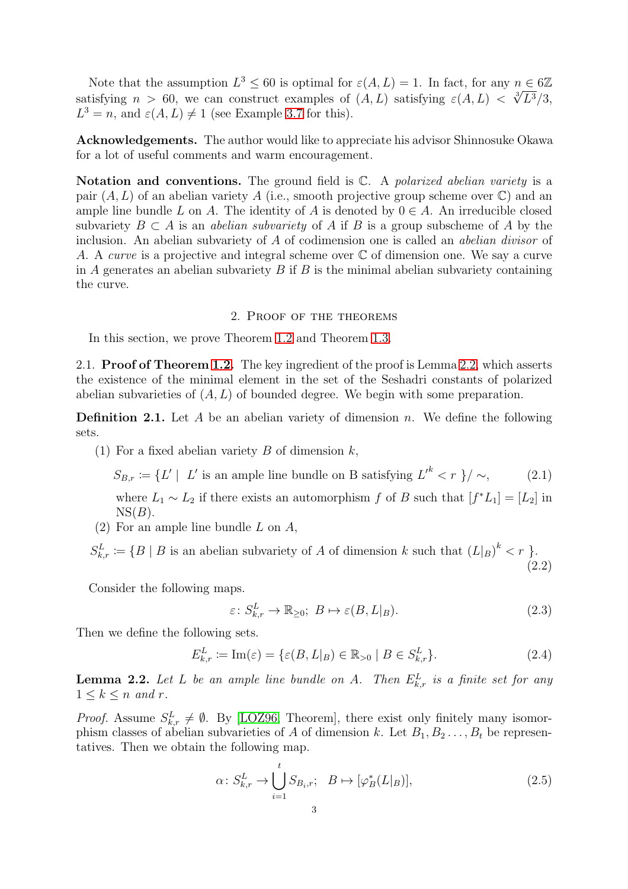Note that the assumption  $L^3 \leq 60$  is optimal for  $\varepsilon(A, L) = 1$ . In fact, for any  $n \in 6\mathbb{Z}$ satisfying  $n > 60$ , we can construct examples of  $(A, L)$  satisfying  $\varepsilon(A, L) < \sqrt[3]{L^3}/3$ ,  $L^3 = n$ , and  $\varepsilon(A, L) \neq 1$  (see Example [3.7](#page-7-0) for this).

Acknowledgements. The author would like to appreciate his advisor Shinnosuke Okawa for a lot of useful comments and warm encouragement.

Notation and conventions. The ground field is  $\mathbb{C}$ . A polarized abelian variety is a pair  $(A, L)$  of an abelian variety A (i.e., smooth projective group scheme over  $\mathbb{C}$ ) and an ample line bundle L on A. The identity of A is denoted by  $0 \in A$ . An irreducible closed subvariety  $B \subset A$  is an *abelian subvariety* of A if B is a group subscheme of A by the inclusion. An abelian subvariety of A of codimension one is called an abelian divisor of A. A *curve* is a projective and integral scheme over  $\mathbb C$  of dimension one. We say a curve in A generates an abelian subvariety  $B$  if  $B$  is the minimal abelian subvariety containing the curve.

### 2. Proof of the theorems

<span id="page-2-0"></span>In this section, we prove Theorem [1.2](#page-1-0) and Theorem [1.3.](#page-1-1)

2.1. Proof of Theorem [1.2.](#page-1-0) The key ingredient of the proof is Lemma [2.2,](#page-2-1) which asserts the existence of the minimal element in the set of the Seshadri constants of polarized abelian subvarieties of  $(A, L)$  of bounded degree. We begin with some preparation.

**Definition 2.1.** Let A be an abelian variety of dimension n. We define the following sets.

(1) For a fixed abelian variety B of dimension  $k$ ,

 $S_{B,r} := \{ L' \mid L' \text{ is an ample line bundle on B satisfying } L'^k < r \} / \sim,$  (2.1)

where  $L_1 \sim L_2$  if there exists an automorphism f of B such that  $[f^*L_1] = [L_2]$  in  $NS(B)$ .

(2) For an ample line bundle L on A,

 $S_{k,r}^L := \{ B \mid B \text{ is an abelian subvariety of } A \text{ of dimension } k \text{ such that } (L|_{B})^k < r \}$ . (2.2)

Consider the following maps.

<span id="page-2-4"></span><span id="page-2-3"></span><span id="page-2-2"></span>
$$
\varepsilon \colon S_{k,r}^L \to \mathbb{R}_{\geq 0}; \ B \mapsto \varepsilon(B, L|_B). \tag{2.3}
$$

Then we define the following sets.

$$
E_{k,r}^L := \operatorname{Im}(\varepsilon) = \{ \varepsilon(B, L|_B) \in \mathbb{R}_{>0} \mid B \in S_{k,r}^L \}. \tag{2.4}
$$

<span id="page-2-1"></span>**Lemma 2.2.** Let L be an ample line bundle on A. Then  $E_{k,r}^L$  is a finite set for any  $1 \leq k \leq n$  and r.

*Proof.* Assume  $S_{k,r}^L \neq \emptyset$ . By [\[LOZ96,](#page-8-11) Theorem], there exist only finitely many isomorphism classes of abelian subvarieties of A of dimension k. Let  $B_1, B_2, \ldots, B_t$  be representatives. Then we obtain the following map.

$$
\alpha \colon S_{k,r}^L \to \bigcup_{i=1}^t S_{B_i,r}; \quad B \mapsto [\varphi_B^*(L|_B)], \tag{2.5}
$$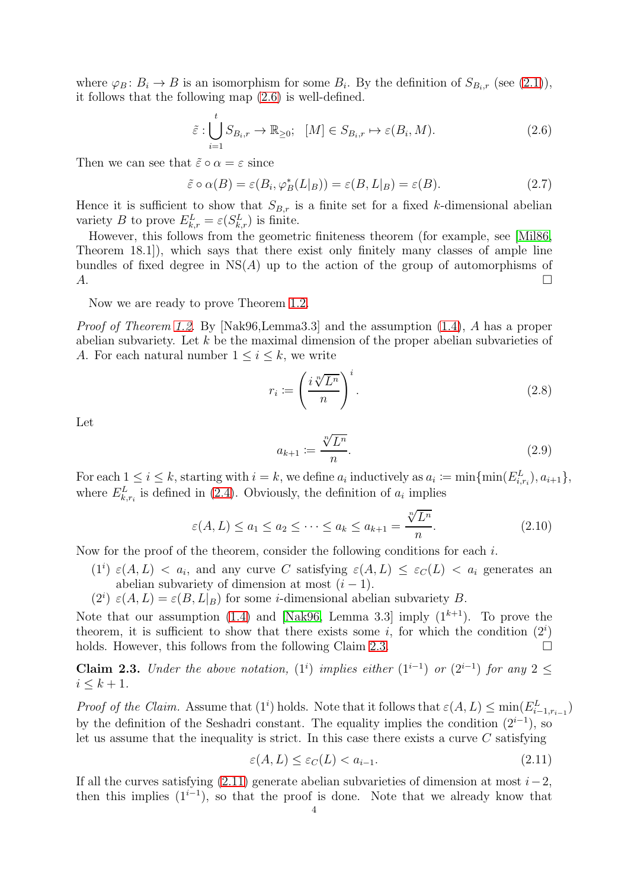where  $\varphi_B: B_i \to B$  is an isomorphism for some  $B_i$ . By the definition of  $S_{B_i,r}$  (see [\(2.1\)](#page-2-2)), it follows that the following map [\(2.6\)](#page-3-0) is well-defined.

<span id="page-3-0"></span>
$$
\tilde{\varepsilon} : \bigcup_{i=1}^{t} S_{B_i,r} \to \mathbb{R}_{\geq 0}; \quad [M] \in S_{B_i,r} \mapsto \varepsilon(B_i,M). \tag{2.6}
$$

Then we can see that  $\tilde{\varepsilon} \circ \alpha = \varepsilon$  since

$$
\tilde{\varepsilon} \circ \alpha(B) = \varepsilon(B_i, \varphi_B^*(L|_B)) = \varepsilon(B, L|_B) = \varepsilon(B). \tag{2.7}
$$

Hence it is sufficient to show that  $S_{B,r}$  is a finite set for a fixed k-dimensional abelian variety B to prove  $E_{k,r}^L = \varepsilon(S_{k,r}^L)$  is finite.

However, this follows from the geometric finiteness theorem (for example, see [\[Mil86,](#page-8-12) Theorem 18.1]), which says that there exist only finitely many classes of ample line bundles of fixed degree in  $NS(A)$  up to the action of the group of automorphisms of  $A.$ 

Now we are ready to prove Theorem [1.2.](#page-1-0)

*Proof of Theorem [1.2.](#page-1-0)* By [Nak96,Lemma3.3] and the assumption  $(1.4)$ , A has a proper abelian subvariety. Let  $k$  be the maximal dimension of the proper abelian subvarieties of A. For each natural number  $1 \leq i \leq k$ , we write

$$
r_i := \left(\frac{i\sqrt[n]{L^n}}{n}\right)^i.
$$
\n(2.8)

Let

<span id="page-3-3"></span>
$$
a_{k+1} := \frac{\sqrt[n]{L^n}}{n}.\tag{2.9}
$$

For each  $1 \leq i \leq k$ , starting with  $i = k$ , we define  $a_i$  inductively as  $a_i := \min\{\min(E_{i,r_i}^L), a_{i+1}\},\$ where  $E_{k,r_i}^L$  is defined in [\(2.4\)](#page-2-3). Obviously, the definition of  $a_i$  implies

$$
\varepsilon(A, L) \le a_1 \le a_2 \le \dots \le a_k \le a_{k+1} = \frac{\sqrt[n]{L^n}}{n}.
$$
\n(2.10)

Now for the proof of the theorem, consider the following conditions for each  $i$ .

- (1<sup>i</sup>)  $\varepsilon(A, L) < a_i$ , and any curve C satisfying  $\varepsilon(A, L) \leq \varepsilon_C(L) < a_i$  generates an abelian subvariety of dimension at most  $(i - 1)$ .
- $(2^i) \varepsilon(A, L) = \varepsilon(B, L|_B)$  for some *i*-dimensional abelian subvariety *B*.

Note that our assumption [\(1.4\)](#page-1-4) and [\[Nak96,](#page-8-4) Lemma 3.3] imply  $(1^{k+1})$ . To prove the theorem, it is sufficient to show that there exists some i, for which the condition  $(2^i)$ holds. However, this follows from the following Claim [2.3.](#page-3-1)

<span id="page-3-1"></span>Claim 2.3. Under the above notation,  $(1^i)$  implies either  $(1^{i-1})$  or  $(2^{i-1})$  for any  $2 \leq$  $i \leq k + 1$ .

*Proof of the Claim.* Assume that  $(1^i)$  holds. Note that it follows that  $\varepsilon(A, L) \le \min(E_{i-1, r_{i-1}}^L)$ by the definition of the Seshadri constant. The equality implies the condition  $(2^{i-1})$ , so let us assume that the inequality is strict. In this case there exists a curve  $C$  satisfying

<span id="page-3-2"></span>
$$
\varepsilon(A, L) \le \varepsilon_C(L) < a_{i-1}.\tag{2.11}
$$

If all the curves satisfying  $(2.11)$  generate abelian subvarieties of dimension at most  $i-2$ . then this implies  $(1^{i-1})$ , so that the proof is done. Note that we already know that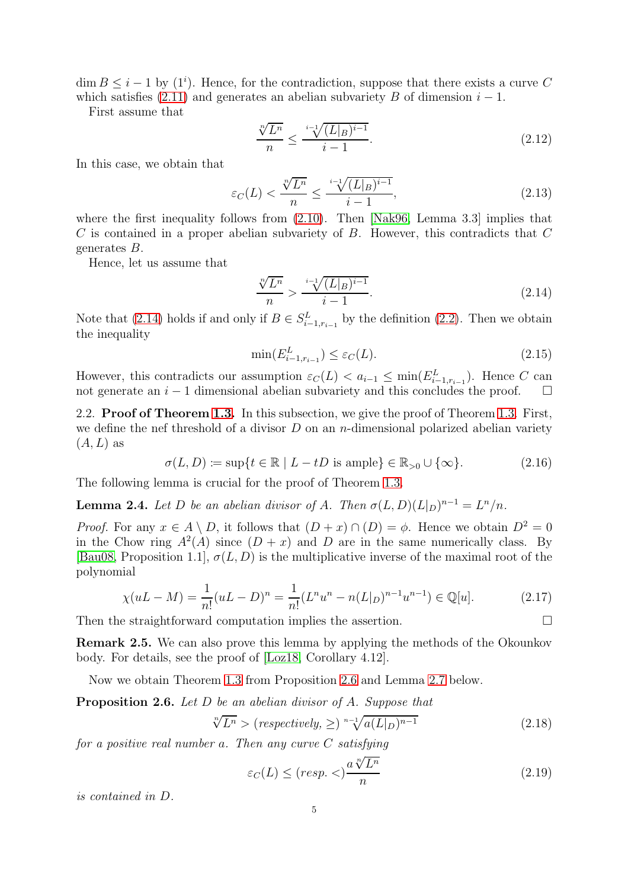$\dim B \leq i-1$  by  $(1^i)$ . Hence, for the contradiction, suppose that there exists a curve C which satisfies [\(2.11\)](#page-3-2) and generates an abelian subvariety B of dimension  $i - 1$ .

First assume that

$$
\frac{\sqrt[n]{L^n}}{n} \le \frac{\sqrt[n-1]{(L|_B)^{i-1}}}{i-1}.\tag{2.12}
$$

In this case, we obtain that

$$
\varepsilon_C(L) < \frac{\sqrt[n]{L^n}}{n} \le \frac{\sqrt[n-1]{(L|_B)^{i-1}}}{i-1},\tag{2.13}
$$

where the first inequality follows from  $(2.10)$ . Then [\[Nak96,](#page-8-4) Lemma 3.3] implies that C is contained in a proper abelian subvariety of B. However, this contradicts that C generates B.

Hence, let us assume that

<span id="page-4-1"></span>
$$
\frac{\sqrt[n]{L^n}}{n} > \frac{\sqrt[n-1]{(L|B)^{i-1}}}{i-1}.\tag{2.14}
$$

Note that [\(2.14\)](#page-4-1) holds if and only if  $B \in S_{i-1,r_{i-1}}^L$  by the definition [\(2.2\)](#page-2-4). Then we obtain the inequality

$$
\min(E_{i-1,r_{i-1}}^L) \le \varepsilon_C(L). \tag{2.15}
$$

However, this contradicts our assumption  $\varepsilon_C(L) < a_{i-1} \le \min(E_{i-1,r_{i-1}}^L)$ . Hence C can not generate an  $i-1$  dimensional abelian subvariety and this concludes the proof.  $\square$ 

2.2. **Proof of Theorem [1.3.](#page-1-1)** In this subsection, we give the proof of Theorem 1.3. First, we define the nef threshold of a divisor  $D$  on an *n*-dimensional polarized abelian variety  $(A, L)$  as

$$
\sigma(L, D) := \sup\{t \in \mathbb{R} \mid L - tD \text{ is ample}\} \in \mathbb{R}_{>0} \cup \{\infty\}. \tag{2.16}
$$

The following lemma is crucial for the proof of Theorem [1.3.](#page-1-1)

<span id="page-4-2"></span>**Lemma 2.4.** Let D be an abelian divisor of A. Then  $\sigma(L, D)(L|_D)^{n-1} = L^n/n$ .

*Proof.* For any  $x \in A \setminus D$ , it follows that  $(D + x) \cap (D) = \phi$ . Hence we obtain  $D^2 = 0$ in the Chow ring  $A^2(A)$  since  $(D + x)$  and D are in the same numerically class. By [\[Bau08,](#page-8-13) Proposition 1.1],  $\sigma(L, D)$  is the multiplicative inverse of the maximal root of the polynomial

$$
\chi(uL - M) = \frac{1}{n!}(uL - D)^n = \frac{1}{n!}(L^n u^n - n(L|_D)^{n-1} u^{n-1}) \in \mathbb{Q}[u].\tag{2.17}
$$

Then the straightforward computation implies the assertion.

Remark 2.5. We can also prove this lemma by applying the methods of the Okounkov body. For details, see the proof of [\[Loz18,](#page-8-14) Corollary 4.12].

Now we obtain Theorem [1.3](#page-1-1) from Proposition [2.6](#page-4-0) and Lemma [2.7](#page-5-2) below.

<span id="page-4-0"></span>Proposition 2.6. Let D be an abelian divisor of A. Suppose that

$$
\sqrt[n]{L^n} > (respectively, \geq)^{n-1} \sqrt{a(L|_D)^{n-1}}
$$
\n(2.18)

for a positive real number a. Then any curve  $C$  satisfying

<span id="page-4-4"></span><span id="page-4-3"></span>
$$
\varepsilon_C(L) \le (resp. <) \frac{a \sqrt[n]{L^n}}{n}
$$
\n(2.19)

is contained in D.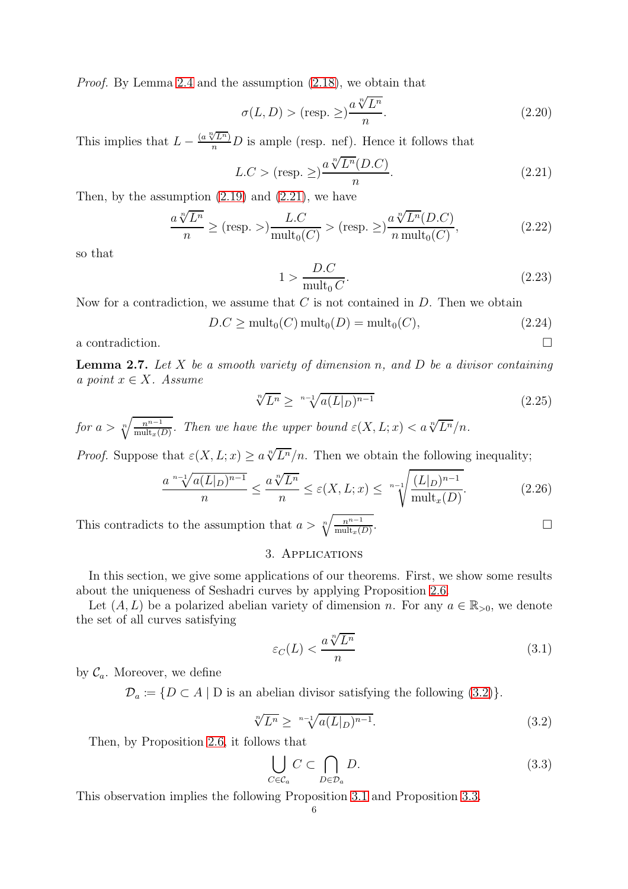Proof. By Lemma [2.4](#page-4-2) and the assumption [\(2.18\)](#page-4-3), we obtain that

$$
\sigma(L, D) > (\text{resp. } \geq) \frac{a \sqrt[n]{L^n}}{n}.
$$
\n(2.20)

This implies that  $L - \frac{(a \sqrt[n]{L^n})}{n}D$  is ample (resp. nef). Hence it follows that

$$
L.C > (resp. \geq) \frac{a \sqrt[n]{L^n}(D.C)}{n}.
$$
\n(2.21)

Then, by the assumption  $(2.19)$  and  $(2.21)$ , we have

$$
\frac{a\sqrt[n]{L^n}}{n} \ge (\text{resp.} >)\frac{L.C}{\text{mult}_0(C)} > (\text{resp. } \ge \frac{a\sqrt[n]{L^n}(D.C)}{n \text{ mult}_0(C)},
$$
\n(2.22)

so that

<span id="page-5-3"></span>
$$
1 > \frac{D.C}{\text{mult}_0 C}.\tag{2.23}
$$

Now for a contradiction, we assume that  $C$  is not contained in  $D$ . Then we obtain

$$
D.C \ge \text{mult}_0(C) \,\text{mult}_0(D) = \text{mult}_0(C),\tag{2.24}
$$

a contradiction.  $\Box$ 

<span id="page-5-2"></span>**Lemma 2.7.** Let X be a smooth variety of dimension n, and D be a divisor containing a point  $x \in X$ . Assume

$$
\sqrt[n]{L^n} \ge \sqrt[n-1]{a(L|_D)^{n-1}}\tag{2.25}
$$

for  $a > \sqrt[n]{\frac{n^{n-1}}{\operatorname{mult}_x(D)}}$ . Then we have the upper bound  $\varepsilon(X, L; x) < a \sqrt[n]{L^n}/n$ .

*Proof.* Suppose that  $\varepsilon(X, L; x) \ge a \sqrt[n]{L^n}/n$ . Then we obtain the following inequality;

$$
\frac{a^{n-1}\sqrt{a(L|_D)^{n-1}}}{n} \le \frac{a\sqrt[n]{L^n}}{n} \le \varepsilon(X, L; x) \le \sqrt[n-1]{\frac{(L|_D)^{n-1}}{\text{mult}_x(D)}}.
$$
\n(2.26)

<span id="page-5-0"></span>This contradicts to the assumption that  $a > \sqrt[n]{\frac{n^{n-1}}{\text{mult}_x(D)}}$ .

## 3. Applications

In this section, we give some applications of our theorems. First, we show some results about the uniqueness of Seshadri curves by applying Proposition [2.6.](#page-4-0)

Let  $(A, L)$  be a polarized abelian variety of dimension n. For any  $a \in \mathbb{R}_{>0}$ , we denote the set of all curves satisfying

$$
\varepsilon_C(L) < \frac{a \sqrt[n]{L^n}}{n} \tag{3.1}
$$

by  $\mathcal{C}_a$ . Moreover, we define

 $\mathcal{D}_a \coloneqq \{D \subset A \mid D \text{ is an abelian divisor satisfying the following (3.2)}\}.$  $\mathcal{D}_a \coloneqq \{D \subset A \mid D \text{ is an abelian divisor satisfying the following (3.2)}\}.$  $\mathcal{D}_a \coloneqq \{D \subset A \mid D \text{ is an abelian divisor satisfying the following (3.2)}\}.$ 

$$
\sqrt[n]{L^n} \ge \sqrt[n-1]{a(L|_D)^{n-1}}.
$$
\n(3.2)

Then, by Proposition [2.6,](#page-4-0) it follows that

<span id="page-5-4"></span><span id="page-5-1"></span>
$$
\bigcup_{C \in \mathcal{C}_a} C \subset \bigcap_{D \in \mathcal{D}_a} D. \tag{3.3}
$$

This observation implies the following Proposition [3.1](#page-6-0) and Proposition [3.3.](#page-6-1)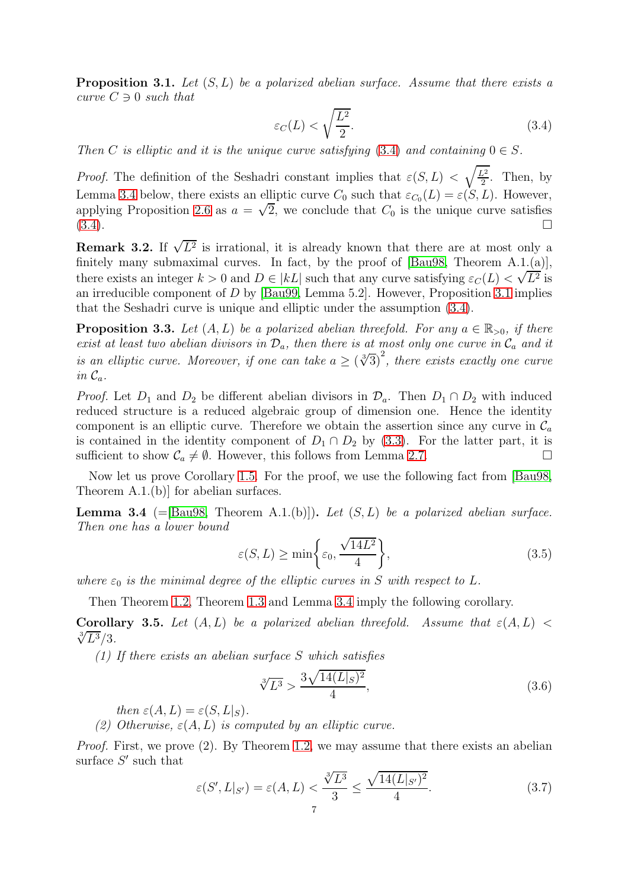<span id="page-6-0"></span>**Proposition 3.1.** Let  $(S, L)$  be a polarized abelian surface. Assume that there exists a curve  $C \ni 0$  such that

<span id="page-6-2"></span>
$$
\varepsilon_C(L) < \sqrt{\frac{L^2}{2}}.\tag{3.4}
$$

Then C is elliptic and it is the unique curve satisfying  $(3.4)$  and containing  $0 \in S$ .

*Proof.* The definition of the Seshadri constant implies that  $\varepsilon(S, L) < \sqrt{\frac{L^2}{2}}$  $\frac{\sqrt{2}}{2}$ . Then, by Lemma [3.4](#page-6-3) below, there exists an elliptic curve  $C_0$  such that  $\varepsilon_{C_0}(L) = \varepsilon(S, L)$ . However, applying Proposition [2.6](#page-4-0) as  $a = \sqrt{2}$ , we conclude that  $C_0$  is the unique curve satisfies  $(3.4)$ .

**Remark 3.2.** If  $\sqrt{L^2}$  is irrational, it is already known that there are at most only a finitely many submaximal curves. In fact, by the proof of [\[Bau98,](#page-8-3) Theorem A.1.(a)], there exists an integer  $k > 0$  and  $D \in |kL|$  such that any curve satisfying  $\varepsilon_C(L) < \sqrt{L^2}$  is an irreducible component of D by [\[Bau99,](#page-8-15) Lemma 5.2]. However, Proposition [3.1](#page-6-0) implies that the Seshadri curve is unique and elliptic under the assumption [\(3.4\)](#page-6-2).

<span id="page-6-1"></span>**Proposition 3.3.** Let  $(A, L)$  be a polarized abelian threefold. For any  $a \in \mathbb{R}_{>0}$ , if there exist at least two abelian divisors in  $\mathcal{D}_a$ , then there is at most only one curve in  $\mathcal{C}_a$  and it is an elliptic curve. Moreover, if one can take  $a \geq (\sqrt[3]{3})^2$ , there exists exactly one curve in  $\mathcal{C}_a$ .

*Proof.* Let  $D_1$  and  $D_2$  be different abelian divisors in  $\mathcal{D}_a$ . Then  $D_1 \cap D_2$  with induced reduced structure is a reduced algebraic group of dimension one. Hence the identity component is an elliptic curve. Therefore we obtain the assertion since any curve in  $\mathcal{C}_a$ is contained in the identity component of  $D_1 \cap D_2$  by [\(3.3\)](#page-5-1). For the latter part, it is sufficient to show  $C_1 \neq \emptyset$ . However, this follows from Lemma 2.7 sufficient to show  $C_a \neq \emptyset$ . However, this follows from Lemma [2.7.](#page-5-2)

Now let us prove Corollary [1.5.](#page-1-5) For the proof, we use the following fact from [\[Bau98,](#page-8-3) Theorem A.1.(b)] for abelian surfaces.

<span id="page-6-3"></span>**Lemma 3.4** (=[\[Bau98,](#page-8-3) Theorem A.1.(b)]). Let  $(S, L)$  be a polarized abelian surface. Then one has a lower bound

$$
\varepsilon(S, L) \ge \min\bigg\{\varepsilon_0, \frac{\sqrt{14L^2}}{4}\bigg\},\tag{3.5}
$$

where  $\varepsilon_0$  is the minimal degree of the elliptic curves in S with respect to L.

Then Theorem [1.2,](#page-1-0) Theorem [1.3](#page-1-1) and Lemma [3.4](#page-6-3) imply the following corollary.

<span id="page-6-4"></span>**Corollary 3.5.** Let  $(A, L)$  be a polarized abelian threefold. Assume that  $\varepsilon(A, L)$  <  $\sqrt[3]{L^3}/3$ .

(1) If there exists an abelian surface S which satisfies

$$
\sqrt[3]{L^3} > \frac{3\sqrt{14(L|_S)^2}}{4},\tag{3.6}
$$

then  $\varepsilon(A, L) = \varepsilon(S, L|_S)$ .

(2) Otherwise,  $\varepsilon(A, L)$  is computed by an elliptic curve.

Proof. First, we prove (2). By Theorem [1.2,](#page-1-0) we may assume that there exists an abelian surface  $S'$  such that

$$
\varepsilon(S', L|_{S'}) = \varepsilon(A, L) < \frac{\sqrt[3]{L^3}}{3} \le \frac{\sqrt{14(L|_{S'})^2}}{4}.\tag{3.7}
$$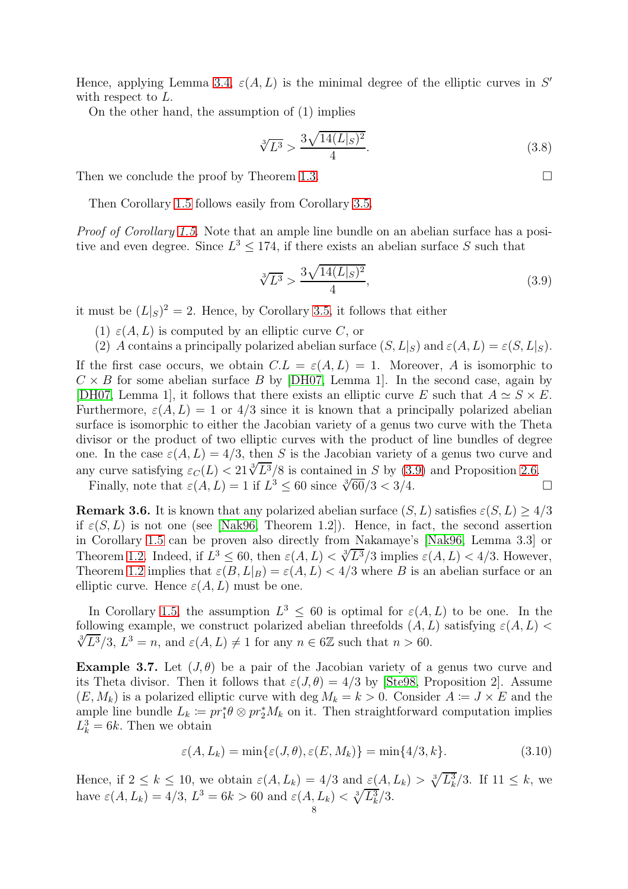Hence, applying Lemma [3.4,](#page-6-3)  $\varepsilon(A, L)$  is the minimal degree of the elliptic curves in S' with respect to  $L$ .

On the other hand, the assumption of (1) implies

$$
\sqrt[3]{L^3} > \frac{3\sqrt{14(L|_S)^2}}{4}.\tag{3.8}
$$

Then we conclude the proof by Theorem [1.3.](#page-1-1)

Then Corollary [1.5](#page-1-5) follows easily from Corollary [3.5.](#page-6-4)

Proof of Corollary [1.5.](#page-1-5) Note that an ample line bundle on an abelian surface has a positive and even degree. Since  $L^3 \leq 174$ , if there exists an abelian surface S such that

$$
\sqrt[3]{L^3} > \frac{3\sqrt{14(L|_S)^2}}{4},\tag{3.9}
$$

it must be  $(L|_S)^2 = 2$ . Hence, by Corollary [3.5,](#page-6-4) it follows that either

- (1)  $\varepsilon(A, L)$  is computed by an elliptic curve C, or
- (2) A contains a principally polarized abelian surface  $(S, L|_S)$  and  $\varepsilon(A, L) = \varepsilon(S, L|_S)$ .

If the first case occurs, we obtain  $C.L = \varepsilon(A, L) = 1$ . Moreover, A is isomorphic to  $C \times B$  for some abelian surface B by [\[DH07,](#page-8-16) Lemma 1]. In the second case, again by [\[DH07,](#page-8-16) Lemma 1], it follows that there exists an elliptic curve E such that  $A \simeq S \times E$ . Furthermore,  $\varepsilon(A, L) = 1$  or  $4/3$  since it is known that a principally polarized abelian surface is isomorphic to either the Jacobian variety of a genus two curve with the Theta divisor or the product of two elliptic curves with the product of line bundles of degree one. In the case  $\varepsilon(A, L) = 4/3$ , then S is the Jacobian variety of a genus two curve and any curve satisfying  $\varepsilon_C(L) < 21\sqrt[3]{L^3}/8$  is contained in S by [\(3.9\)](#page-7-1) and Proposition [2.6.](#page-4-0) Finally, note that  $\varepsilon(A, L) = 1$  if  $L^3 \le 60$  since  $\sqrt[3]{60}/3 < 3/4$ .

**Remark 3.6.** It is known that any polarized abelian surface  $(S, L)$  satisfies  $\varepsilon(S, L) \geq 4/3$ if  $\varepsilon(S, L)$  is not one (see [\[Nak96,](#page-8-4) Theorem 1.2]). Hence, in fact, the second assertion in Corollary [1.5](#page-1-5) can be proven also directly from Nakamaye's [\[Nak96,](#page-8-4) Lemma 3.3] or Theorem [1.2.](#page-1-0) Indeed, if  $L^3 \leq 60$ , then  $\varepsilon(A, L) < \sqrt[3]{L^3}/3$  implies  $\varepsilon(A, L) < 4/3$ . However, Theorem [1.2](#page-1-0) implies that  $\varepsilon(B, L|_B) = \varepsilon(A, L) < 4/3$  where B is an abelian surface or an elliptic curve. Hence  $\varepsilon(A, L)$  must be one.

In Corollary [1.5,](#page-1-5) the assumption  $L^3 \leq 60$  is optimal for  $\varepsilon(A, L)$  to be one. In the following example, we construct polarized abelian threefolds  $(A, L)$  satisfying  $\varepsilon(A, L)$  $\sqrt[3]{L^3}/3$ ,  $L^3 = n$ , and  $\varepsilon(A, L) \neq 1$  for any  $n \in 6\mathbb{Z}$  such that  $n > 60$ .

<span id="page-7-0"></span>Example 3.7. Let  $(J, \theta)$  be a pair of the Jacobian variety of a genus two curve and its Theta divisor. Then it follows that  $\varepsilon(J,\theta) = 4/3$  by [\[Ste98,](#page-8-5) Proposition 2]. Assume  $(E, M_k)$  is a polarized elliptic curve with deg  $M_k = k > 0$ . Consider  $A := J \times E$  and the ample line bundle  $L_k := pr_1^* \theta \otimes pr_2^* M_k$  on it. Then straightforward computation implies  $L_k^3 = 6k$ . Then we obtain

$$
\varepsilon(A, L_k) = \min\{\varepsilon(J, \theta), \varepsilon(E, M_k)\} = \min\{4/3, k\}.
$$
\n(3.10)

Hence, if  $2 \leq k \leq 10$ , we obtain  $\varepsilon(A, L_k) = 4/3$  and  $\underline{\varepsilon}(A, L_k) > \sqrt[3]{L_k^3}/3$ . If  $11 \leq k$ , we have  $\varepsilon(A, L_k) = 4/3$ ,  $L^3 = 6k > 60$  and  $\varepsilon(A, L_k) < \sqrt[3]{L_k^3}/3$ .

<span id="page-7-1"></span>